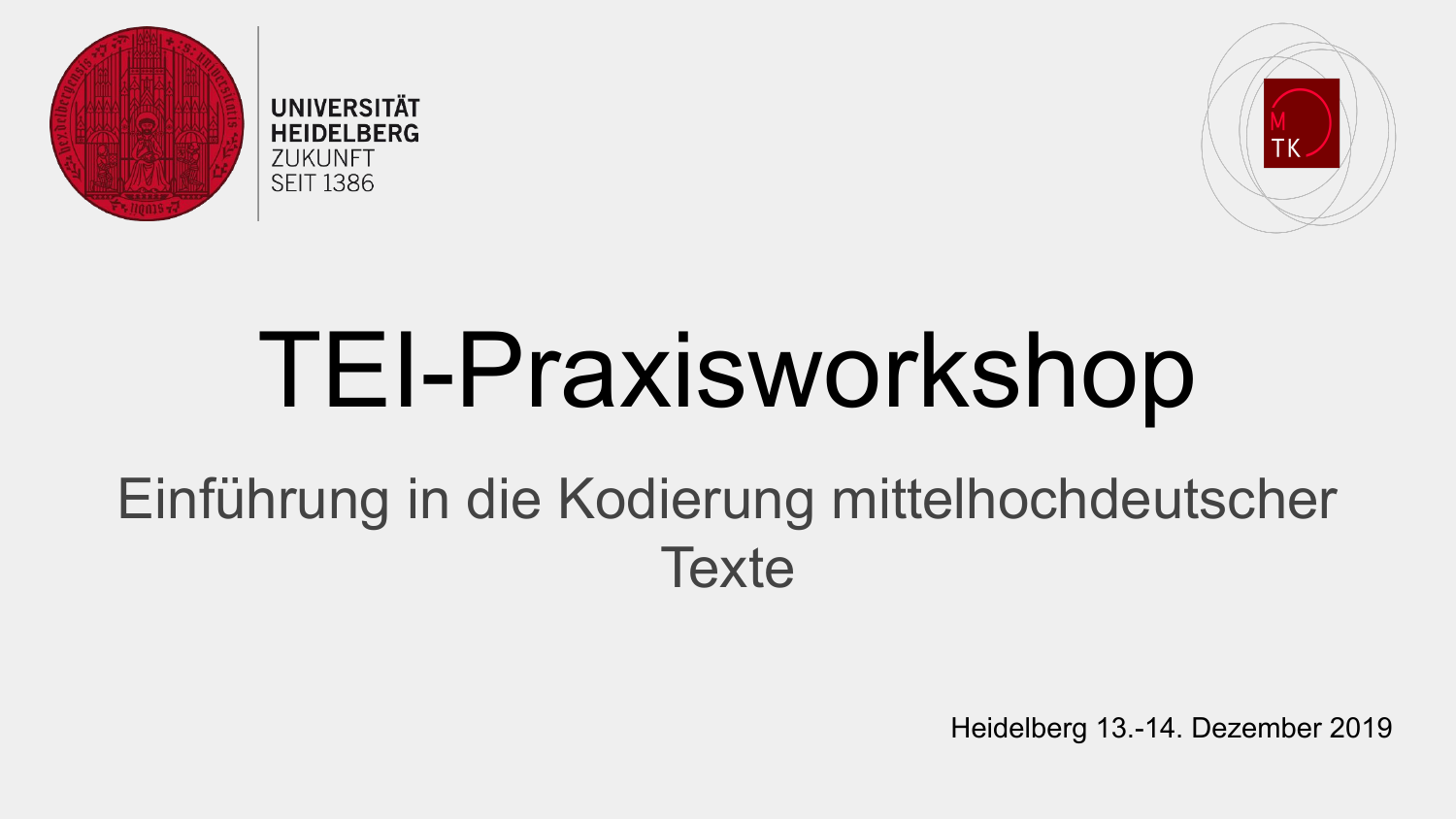





## TEI-Praxisworkshop

### Einführung in die Kodierung mittelhochdeutscher **Texte**

Heidelberg 13.-14. Dezember 2019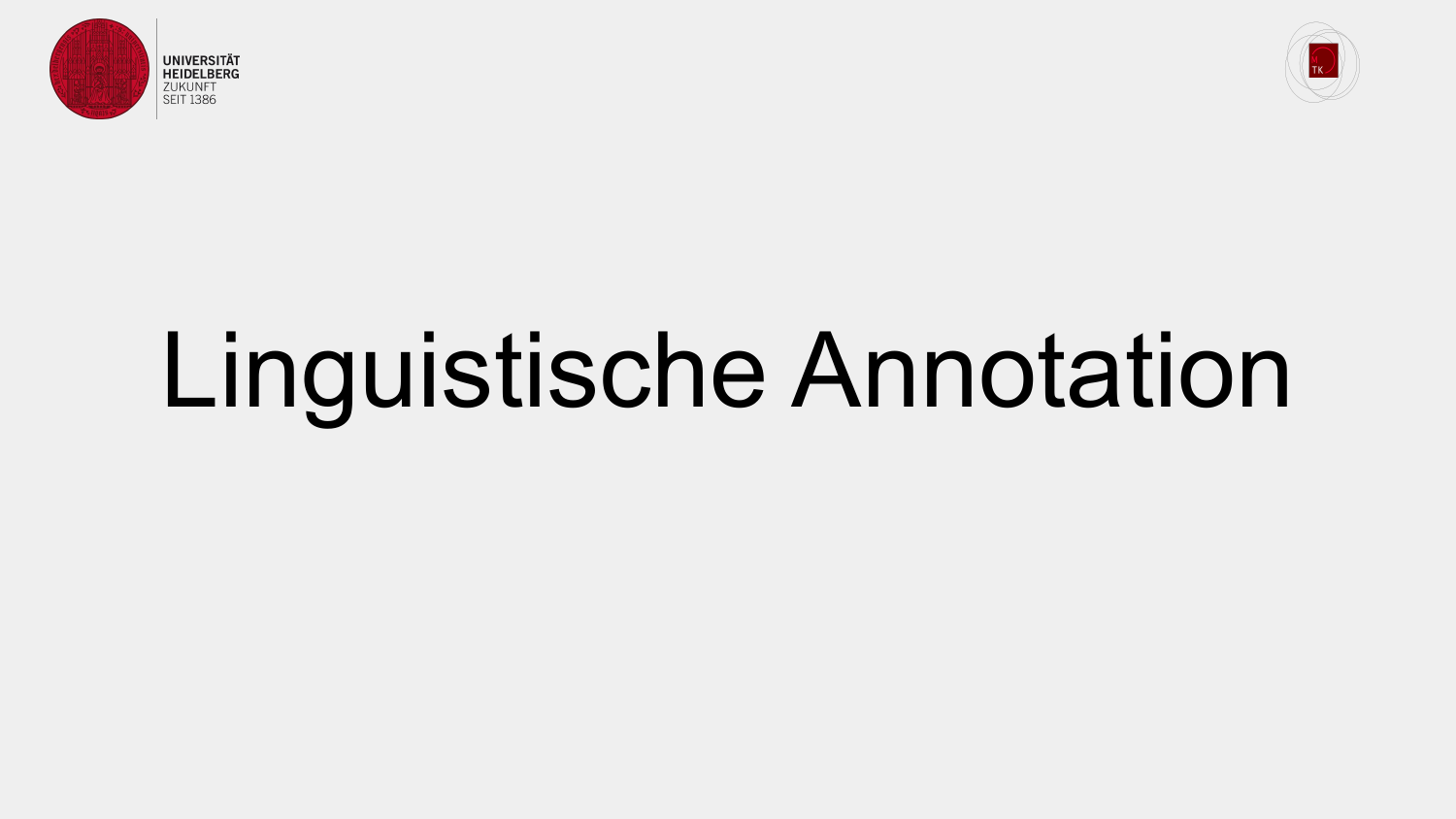



# Linguistische Annotation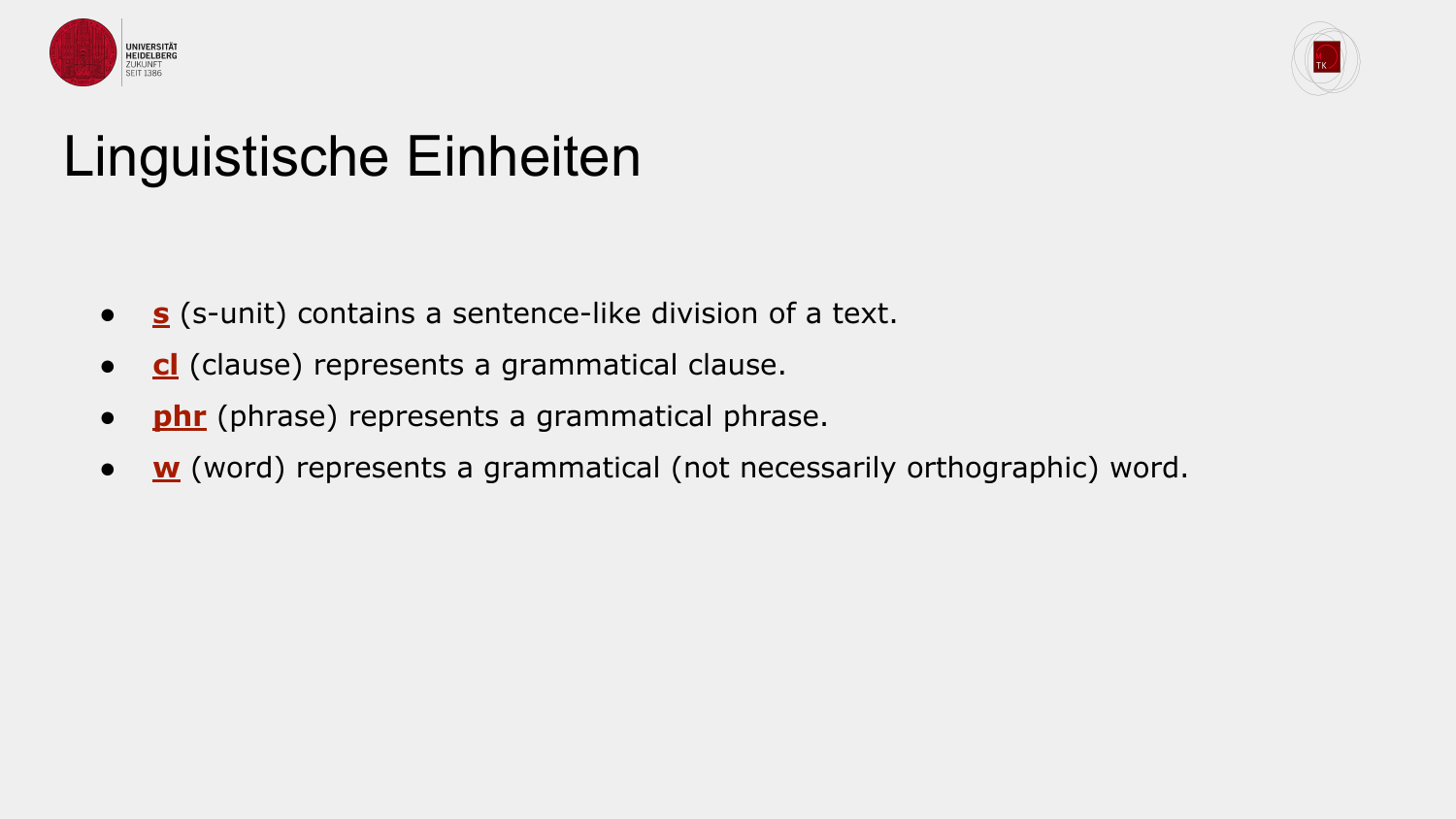



#### Linguistische Einheiten

- **[s](https://www.tei-c.org/release/doc/tei-p5-doc/en/html/ref-s.html)** (s-unit) contains a sentence-like division of a text.
- **[cl](https://www.tei-c.org/release/doc/tei-p5-doc/en/html/ref-cl.html)** (clause) represents a grammatical clause.
- **[phr](https://www.tei-c.org/release/doc/tei-p5-doc/en/html/ref-phr.html)** (phrase) represents a grammatical phrase.
- **<u>[w](https://www.tei-c.org/release/doc/tei-p5-doc/en/html/ref-w.html)</u>** (word) represents a grammatical (not necessarily orthographic) word.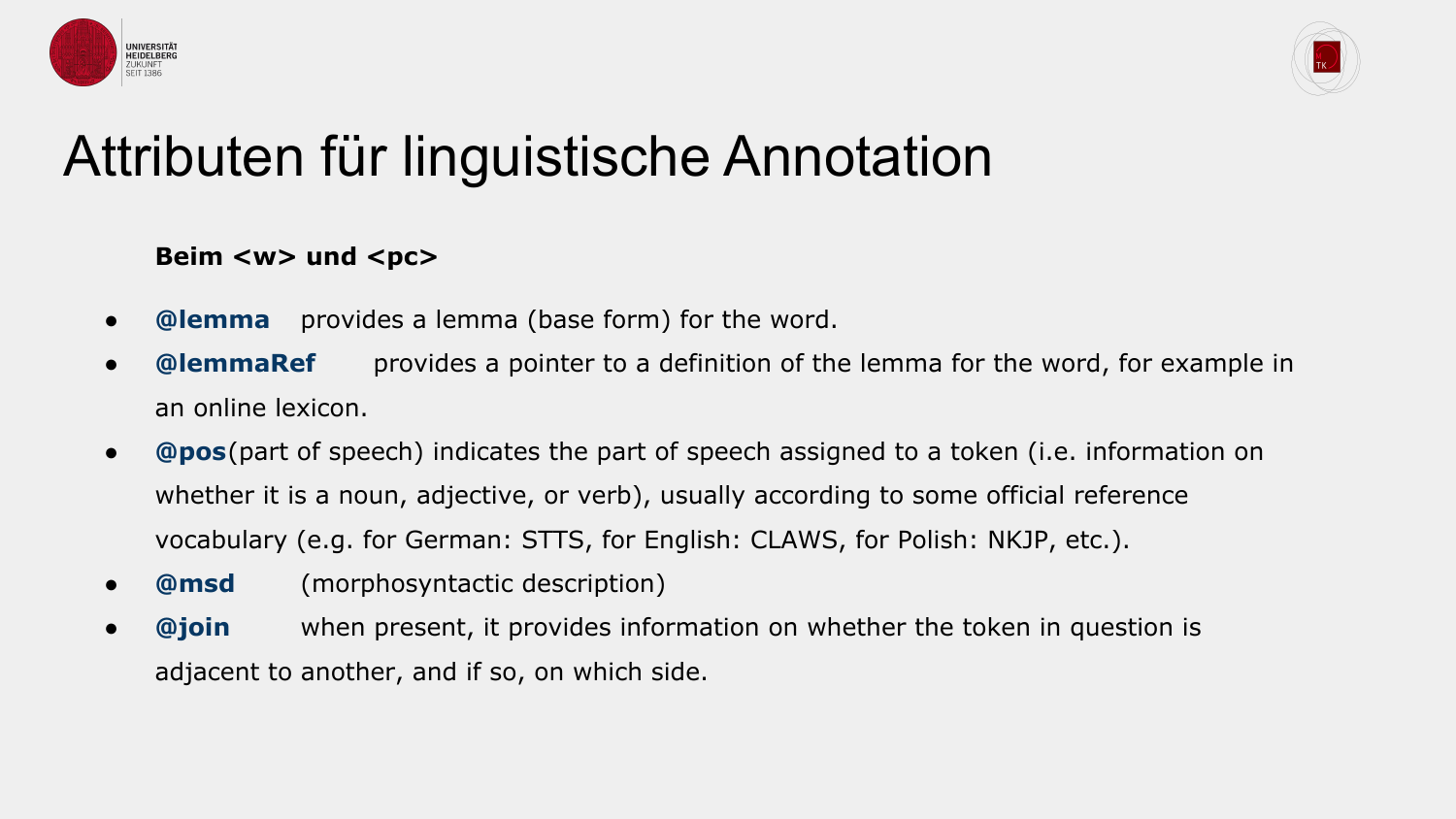



#### Attributen für linguistische Annotation

#### Beim <w> und <pc>

- **@lemma** provides a lemma (base form) for the word.
- **@lemmaRef** provides a pointer to a definition of the lemma for the word, for example in an online lexicon.
- **@pos**(part of speech) indicates the part of speech assigned to a token (i.e. information on whether it is a noun, adjective, or verb), usually according to some official reference vocabulary (e.g. for German: STTS, for English: CLAWS, for Polish: NKJP, etc.).
- **@msd** (morphosyntactic description)
- **@join** when present, it provides information on whether the token in question is adjacent to another, and if so, on which side.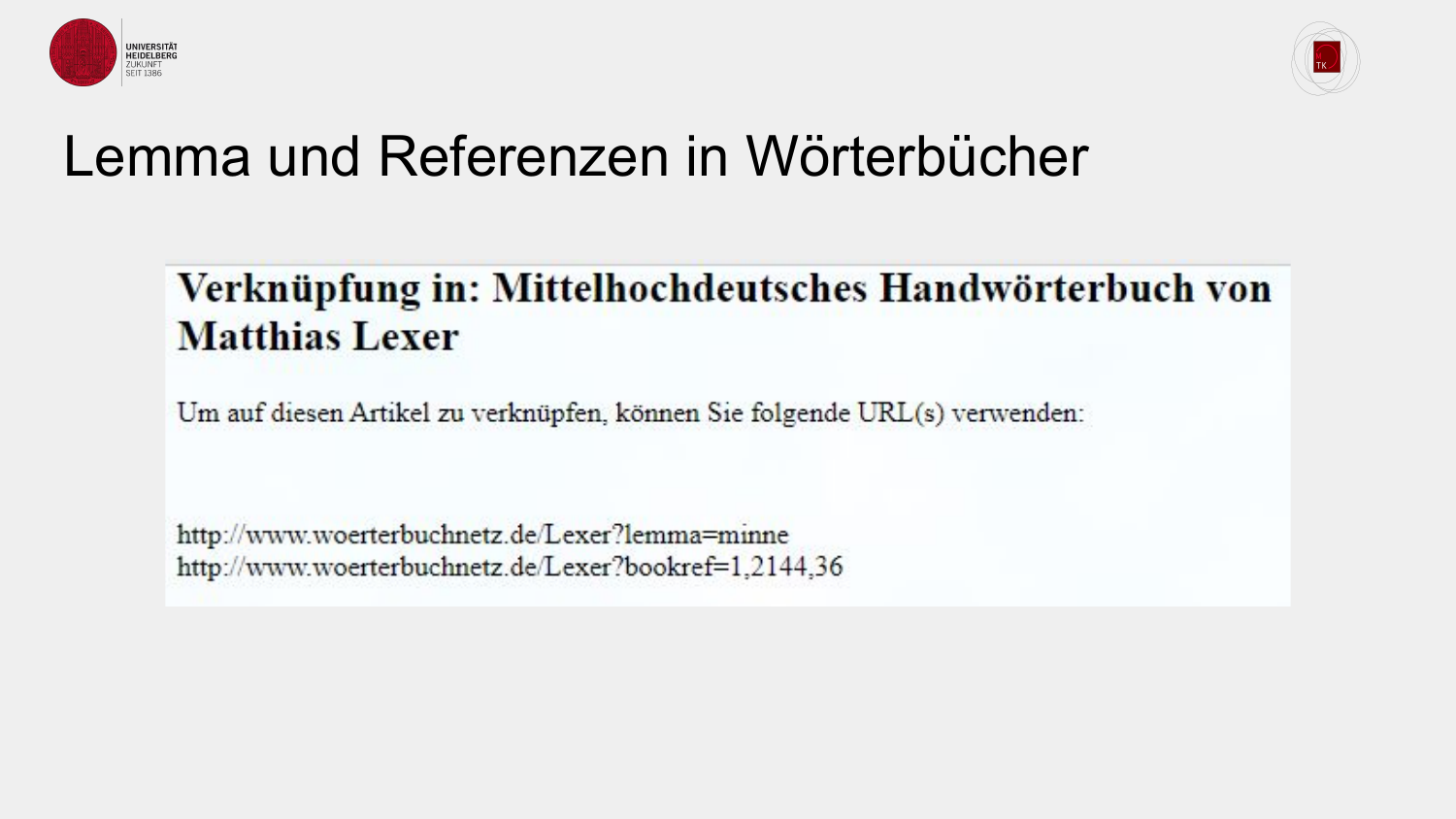



#### Lemma und Referenzen in Wörterbücher

#### Verknüpfung in: Mittelhochdeutsches Handwörterbuch von **Matthias Lexer**

Um auf diesen Artikel zu verknüpfen, können Sie folgende URL(s) verwenden:

http://www.woerterbuchnetz.de/Lexer?lemma=minne http://www.woerterbuchnetz.de/Lexer?bookref=1,2144,36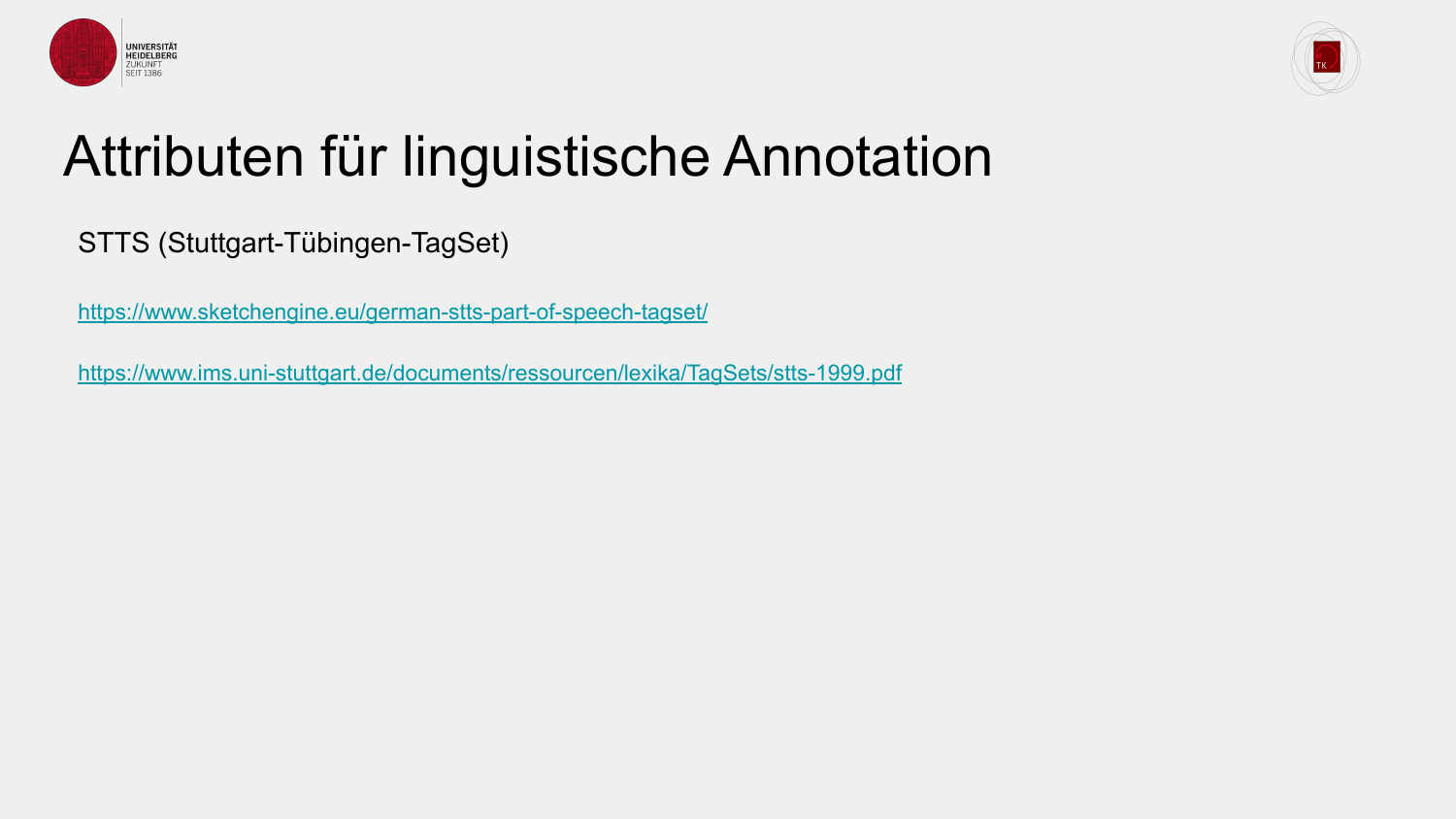



### Attributen für linguistische Annotation

STTS (Stuttgart-Tübingen-TagSet)

<https://www.sketchengine.eu/german-stts-part-of-speech-tagset/>

<https://www.ims.uni-stuttgart.de/documents/ressourcen/lexika/TagSets/stts-1999.pdf>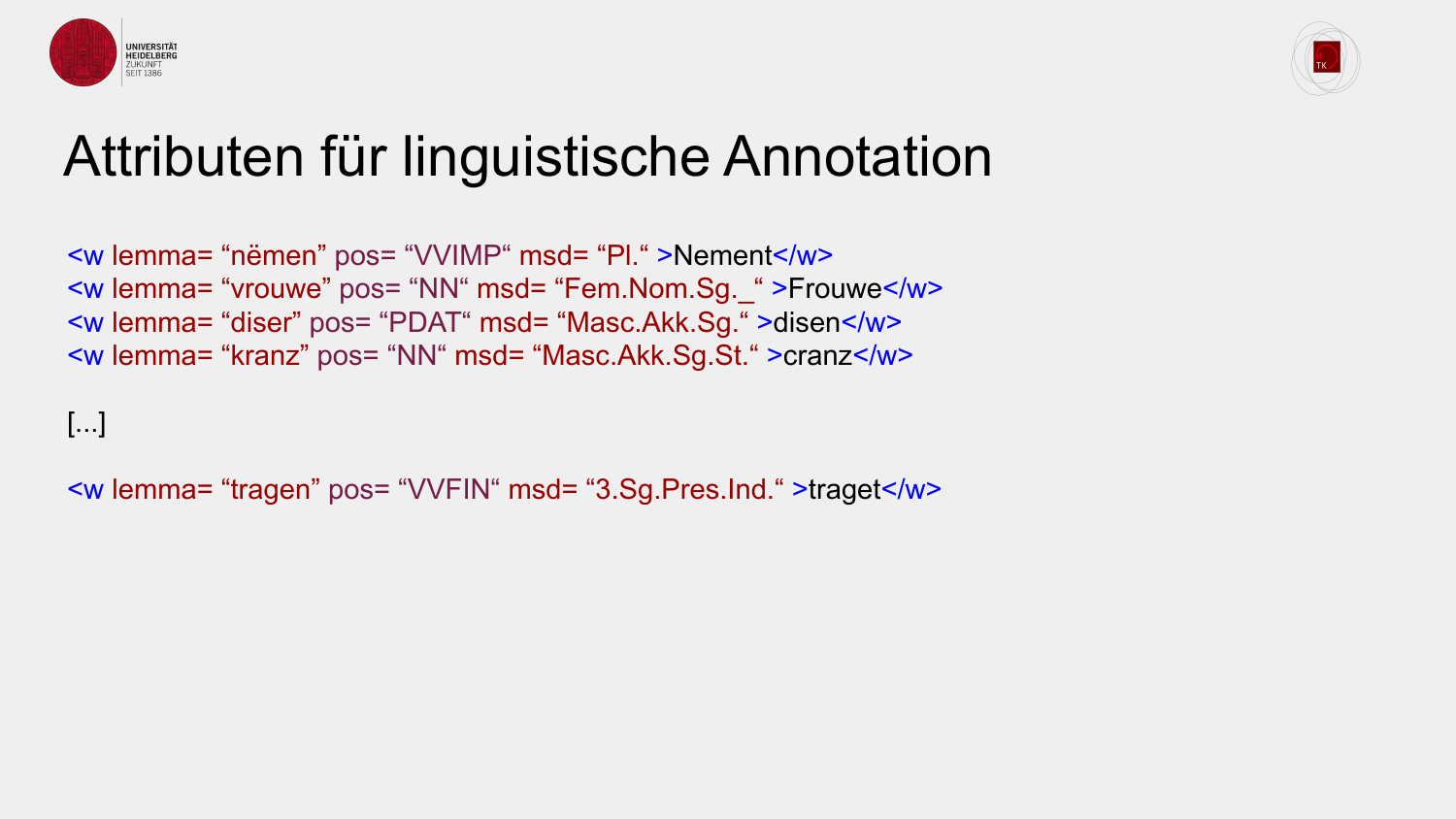



#### Attributen für linguistische Annotation

<w lemma= "nëmen" pos= "VVIMP" msd= "Pl." >Nement</w> <w lemma= "vrouwe" pos= "NN" msd= "Fem.Nom.Sg.\_" >Frouwe</w> <w lemma= "diser" pos= "PDAT" msd= "Masc.Akk.Sg." >disen</w> <w lemma= "kranz" pos= "NN" msd= "Masc.Akk.Sg.St." >cranz</w>

[...]

<w lemma= "tragen" pos= "VVFIN" msd= "3.Sg.Pres.Ind." >traget</w>